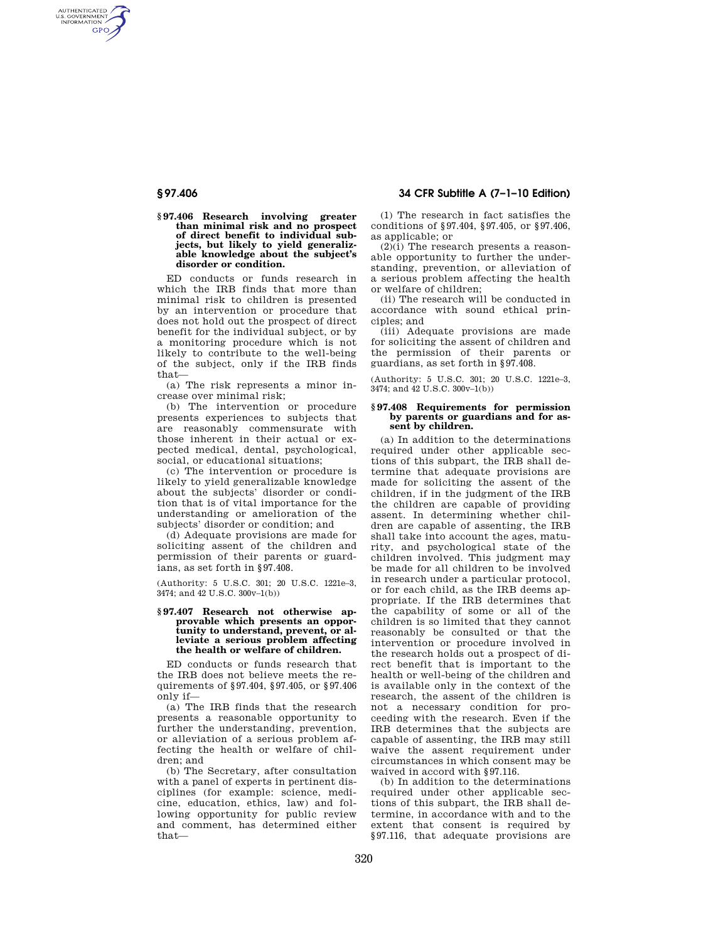AUTHENTICATED<br>U.S. GOVERNMENT<br>INFORMATION **GPO** 

# **§ 97.406 34 CFR Subtitle A (7–1–10 Edition)**

**§ 97.406 Research involving greater than minimal risk and no prospect of direct benefit to individual subjects, but likely to yield generalizable knowledge about the subject's disorder or condition.** 

ED conducts or funds research in which the IRB finds that more than minimal risk to children is presented by an intervention or procedure that does not hold out the prospect of direct benefit for the individual subject, or by a monitoring procedure which is not likely to contribute to the well-being of the subject, only if the IRB finds that—

(a) The risk represents a minor increase over minimal risk;

(b) The intervention or procedure presents experiences to subjects that are reasonably commensurate with those inherent in their actual or expected medical, dental, psychological, social, or educational situations;

(c) The intervention or procedure is likely to yield generalizable knowledge about the subjects' disorder or condition that is of vital importance for the understanding or amelioration of the subjects' disorder or condition; and

(d) Adequate provisions are made for soliciting assent of the children and permission of their parents or guardians, as set forth in §97.408.

(Authority: 5 U.S.C. 301; 20 U.S.C. 1221e–3, 3474; and 42 U.S.C. 300v–1(b))

### **§ 97.407 Research not otherwise approvable which presents an opportunity to understand, prevent, or alleviate a serious problem affecting the health or welfare of children.**

ED conducts or funds research that the IRB does not believe meets the requirements of §97.404, §97.405, or §97.406 only if—

(a) The IRB finds that the research presents a reasonable opportunity to further the understanding, prevention, or alleviation of a serious problem affecting the health or welfare of children; and

(b) The Secretary, after consultation with a panel of experts in pertinent disciplines (for example: science, medicine, education, ethics, law) and following opportunity for public review and comment, has determined either that—

(1) The research in fact satisfies the conditions of §97.404, §97.405, or §97.406, as applicable; or

(2)(i) The research presents a reasonable opportunity to further the understanding, prevention, or alleviation of a serious problem affecting the health or welfare of children;

(ii) The research will be conducted in accordance with sound ethical principles; and

(iii) Adequate provisions are made for soliciting the assent of children and the permission of their parents or guardians, as set forth in §97.408.

(Authority: 5 U.S.C. 301; 20 U.S.C. 1221e–3, 3474; and 42 U.S.C. 300v–1(b))

#### **§ 97.408 Requirements for permission by parents or guardians and for assent by children.**

(a) In addition to the determinations required under other applicable sections of this subpart, the IRB shall determine that adequate provisions are made for soliciting the assent of the children, if in the judgment of the IRB the children are capable of providing assent. In determining whether children are capable of assenting, the IRB shall take into account the ages, maturity, and psychological state of the children involved. This judgment may be made for all children to be involved in research under a particular protocol, or for each child, as the IRB deems appropriate. If the IRB determines that the capability of some or all of the children is so limited that they cannot reasonably be consulted or that the intervention or procedure involved in the research holds out a prospect of direct benefit that is important to the health or well-being of the children and is available only in the context of the research, the assent of the children is not a necessary condition for proceeding with the research. Even if the IRB determines that the subjects are capable of assenting, the IRB may still waive the assent requirement under circumstances in which consent may be waived in accord with §97.116.

(b) In addition to the determinations required under other applicable sections of this subpart, the IRB shall determine, in accordance with and to the extent that consent is required by §97.116, that adequate provisions are